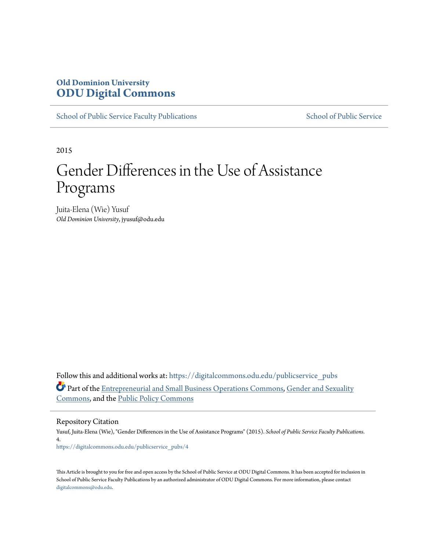# **Old Dominion University [ODU Digital Commons](https://digitalcommons.odu.edu?utm_source=digitalcommons.odu.edu%2Fpublicservice_pubs%2F4&utm_medium=PDF&utm_campaign=PDFCoverPages)**

[School of Public Service Faculty Publications](https://digitalcommons.odu.edu/publicservice_pubs?utm_source=digitalcommons.odu.edu%2Fpublicservice_pubs%2F4&utm_medium=PDF&utm_campaign=PDFCoverPages) [School of Public Service](https://digitalcommons.odu.edu/publicservice?utm_source=digitalcommons.odu.edu%2Fpublicservice_pubs%2F4&utm_medium=PDF&utm_campaign=PDFCoverPages)

2015

# Gender Differences in the Use of Assistance Programs

Juita-Elena (Wie) Yusuf *Old Dominion University*, jyusuf@odu.edu

Follow this and additional works at: [https://digitalcommons.odu.edu/publicservice\\_pubs](https://digitalcommons.odu.edu/publicservice_pubs?utm_source=digitalcommons.odu.edu%2Fpublicservice_pubs%2F4&utm_medium=PDF&utm_campaign=PDFCoverPages) Part of the [Entrepreneurial and Small Business Operations Commons](http://network.bepress.com/hgg/discipline/630?utm_source=digitalcommons.odu.edu%2Fpublicservice_pubs%2F4&utm_medium=PDF&utm_campaign=PDFCoverPages), [Gender and Sexuality](http://network.bepress.com/hgg/discipline/420?utm_source=digitalcommons.odu.edu%2Fpublicservice_pubs%2F4&utm_medium=PDF&utm_campaign=PDFCoverPages) [Commons,](http://network.bepress.com/hgg/discipline/420?utm_source=digitalcommons.odu.edu%2Fpublicservice_pubs%2F4&utm_medium=PDF&utm_campaign=PDFCoverPages) and the [Public Policy Commons](http://network.bepress.com/hgg/discipline/400?utm_source=digitalcommons.odu.edu%2Fpublicservice_pubs%2F4&utm_medium=PDF&utm_campaign=PDFCoverPages)

Repository Citation

Yusuf, Juita-Elena (Wie), "Gender Differences in the Use of Assistance Programs" (2015). *School of Public Service Faculty Publications*. 4. [https://digitalcommons.odu.edu/publicservice\\_pubs/4](https://digitalcommons.odu.edu/publicservice_pubs/4?utm_source=digitalcommons.odu.edu%2Fpublicservice_pubs%2F4&utm_medium=PDF&utm_campaign=PDFCoverPages)

This Article is brought to you for free and open access by the School of Public Service at ODU Digital Commons. It has been accepted for inclusion in School of Public Service Faculty Publications by an authorized administrator of ODU Digital Commons. For more information, please contact [digitalcommons@odu.edu.](mailto:digitalcommons@odu.edu)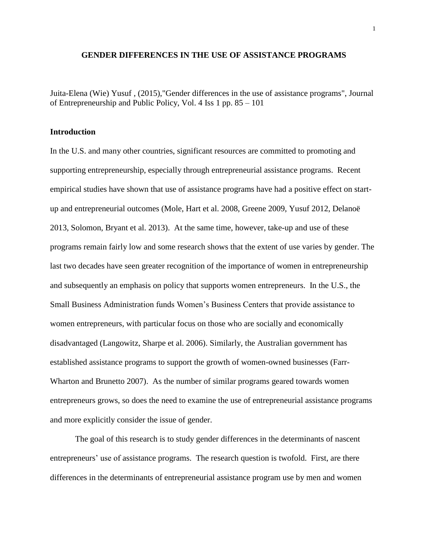#### **GENDER DIFFERENCES IN THE USE OF ASSISTANCE PROGRAMS**

Juita-Elena (Wie) Yusuf , (2015),"Gender differences in the use of assistance programs", Journal of Entrepreneurship and Public Policy, Vol. 4 Iss 1 pp. 85 – 101

#### **Introduction**

In the U.S. and many other countries, significant resources are committed to promoting and supporting entrepreneurship, especially through entrepreneurial assistance programs. Recent empirical studies have shown that use of assistance programs have had a positive effect on startup and entrepreneurial outcomes (Mole, Hart et al. 2008, Greene 2009, Yusuf 2012, Delanoë 2013, Solomon, Bryant et al. 2013). At the same time, however, take-up and use of these programs remain fairly low and some research shows that the extent of use varies by gender. The last two decades have seen greater recognition of the importance of women in entrepreneurship and subsequently an emphasis on policy that supports women entrepreneurs. In the U.S., the Small Business Administration funds Women's Business Centers that provide assistance to women entrepreneurs, with particular focus on those who are socially and economically disadvantaged (Langowitz, Sharpe et al. 2006). Similarly, the Australian government has established assistance programs to support the growth of women-owned businesses (Farr-Wharton and Brunetto 2007). As the number of similar programs geared towards women entrepreneurs grows, so does the need to examine the use of entrepreneurial assistance programs and more explicitly consider the issue of gender.

The goal of this research is to study gender differences in the determinants of nascent entrepreneurs' use of assistance programs. The research question is twofold. First, are there differences in the determinants of entrepreneurial assistance program use by men and women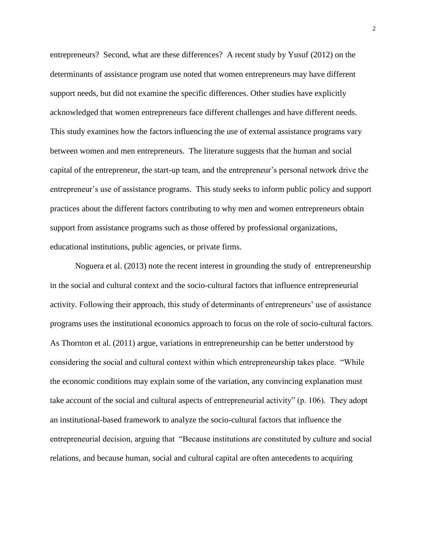entrepreneurs? Second, what are these differences? A recent study by Yusuf (2012) on the determinants of assistance program use noted that women entrepreneurs may have different support needs, but did not examine the specific differences. Other studies have explicitly acknowledged that women entrepreneurs face different challenges and have different needs. This study examines how the factors influencing the use of external assistance programs vary between women and men entrepreneurs. The literature suggests that the human and social capital of the entrepreneur, the start-up team, and the entrepreneur's personal network drive the entrepreneur's use of assistance programs. This study seeks to inform public policy and support practices about the different factors contributing to why men and women entrepreneurs obtain support from assistance programs such as those offered by professional organizations, educational institutions, public agencies, or private firms.

Noguera et al. (2013) note the recent interest in grounding the study of entrepreneurship in the social and cultural context and the socio-cultural factors that influence entrepreneurial activity. Following their approach, this study of determinants of entrepreneurs' use of assistance programs uses the institutional economics approach to focus on the role of socio-cultural factors. As Thornton et al. (2011) argue, variations in entrepreneurship can be better understood by considering the social and cultural context within which entrepreneurship takes place. "While the economic conditions may explain some of the variation, any convincing explanation must take account of the social and cultural aspects of entrepreneurial activity" (p. 106). They adopt an institutional-based framework to analyze the socio-cultural factors that influence the entrepreneurial decision, arguing that "Because institutions are constituted by culture and social relations, and because human, social and cultural capital are often antecedents to acquiring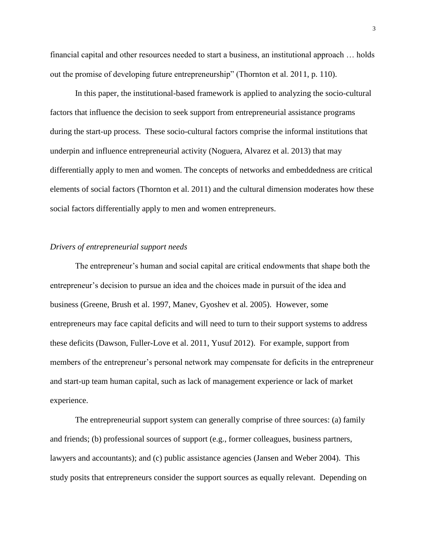financial capital and other resources needed to start a business, an institutional approach … holds out the promise of developing future entrepreneurship" (Thornton et al. 2011, p. 110).

In this paper, the institutional-based framework is applied to analyzing the socio-cultural factors that influence the decision to seek support from entrepreneurial assistance programs during the start-up process. These socio-cultural factors comprise the informal institutions that underpin and influence entrepreneurial activity (Noguera, Alvarez et al. 2013) that may differentially apply to men and women. The concepts of networks and embeddedness are critical elements of social factors (Thornton et al. 2011) and the cultural dimension moderates how these social factors differentially apply to men and women entrepreneurs.

#### *Drivers of entrepreneurial support needs*

The entrepreneur's human and social capital are critical endowments that shape both the entrepreneur's decision to pursue an idea and the choices made in pursuit of the idea and business (Greene, Brush et al. 1997, Manev, Gyoshev et al. 2005). However, some entrepreneurs may face capital deficits and will need to turn to their support systems to address these deficits (Dawson, Fuller-Love et al. 2011, Yusuf 2012). For example, support from members of the entrepreneur's personal network may compensate for deficits in the entrepreneur and start-up team human capital, such as lack of management experience or lack of market experience.

The entrepreneurial support system can generally comprise of three sources: (a) family and friends; (b) professional sources of support (e.g., former colleagues, business partners, lawyers and accountants); and (c) public assistance agencies (Jansen and Weber 2004). This study posits that entrepreneurs consider the support sources as equally relevant. Depending on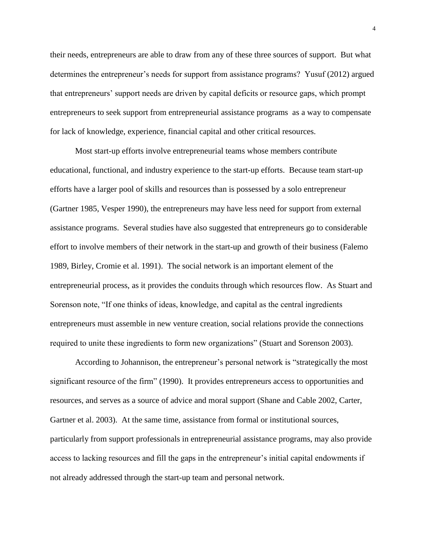their needs, entrepreneurs are able to draw from any of these three sources of support. But what determines the entrepreneur's needs for support from assistance programs? Yusuf (2012) argued that entrepreneurs' support needs are driven by capital deficits or resource gaps, which prompt entrepreneurs to seek support from entrepreneurial assistance programs as a way to compensate for lack of knowledge, experience, financial capital and other critical resources.

Most start-up efforts involve entrepreneurial teams whose members contribute educational, functional, and industry experience to the start-up efforts. Because team start-up efforts have a larger pool of skills and resources than is possessed by a solo entrepreneur (Gartner 1985, Vesper 1990), the entrepreneurs may have less need for support from external assistance programs. Several studies have also suggested that entrepreneurs go to considerable effort to involve members of their network in the start-up and growth of their business (Falemo 1989, Birley, Cromie et al. 1991). The social network is an important element of the entrepreneurial process, as it provides the conduits through which resources flow. As Stuart and Sorenson note, "If one thinks of ideas, knowledge, and capital as the central ingredients entrepreneurs must assemble in new venture creation, social relations provide the connections required to unite these ingredients to form new organizations" (Stuart and Sorenson 2003).

According to Johannison, the entrepreneur's personal network is "strategically the most significant resource of the firm" (1990). It provides entrepreneurs access to opportunities and resources, and serves as a source of advice and moral support (Shane and Cable 2002, Carter, Gartner et al. 2003). At the same time, assistance from formal or institutional sources, particularly from support professionals in entrepreneurial assistance programs, may also provide access to lacking resources and fill the gaps in the entrepreneur's initial capital endowments if not already addressed through the start-up team and personal network.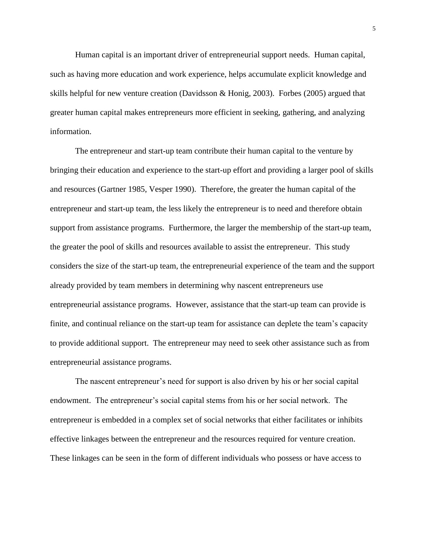Human capital is an important driver of entrepreneurial support needs. Human capital, such as having more education and work experience, helps accumulate explicit knowledge and skills helpful for new venture creation (Davidsson & Honig, 2003). Forbes (2005) argued that greater human capital makes entrepreneurs more efficient in seeking, gathering, and analyzing information.

The entrepreneur and start-up team contribute their human capital to the venture by bringing their education and experience to the start-up effort and providing a larger pool of skills and resources (Gartner 1985, Vesper 1990). Therefore, the greater the human capital of the entrepreneur and start-up team, the less likely the entrepreneur is to need and therefore obtain support from assistance programs. Furthermore, the larger the membership of the start-up team, the greater the pool of skills and resources available to assist the entrepreneur. This study considers the size of the start-up team, the entrepreneurial experience of the team and the support already provided by team members in determining why nascent entrepreneurs use entrepreneurial assistance programs. However, assistance that the start-up team can provide is finite, and continual reliance on the start-up team for assistance can deplete the team's capacity to provide additional support. The entrepreneur may need to seek other assistance such as from entrepreneurial assistance programs.

The nascent entrepreneur's need for support is also driven by his or her social capital endowment. The entrepreneur's social capital stems from his or her social network. The entrepreneur is embedded in a complex set of social networks that either facilitates or inhibits effective linkages between the entrepreneur and the resources required for venture creation. These linkages can be seen in the form of different individuals who possess or have access to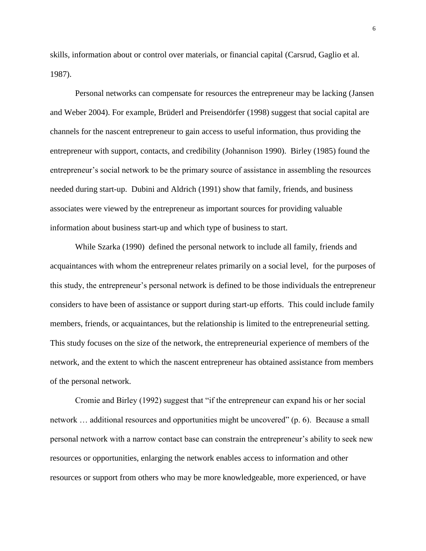skills, information about or control over materials, or financial capital (Carsrud, Gaglio et al. 1987).

Personal networks can compensate for resources the entrepreneur may be lacking (Jansen and Weber 2004). For example, Brüderl and Preisendörfer (1998) suggest that social capital are channels for the nascent entrepreneur to gain access to useful information, thus providing the entrepreneur with support, contacts, and credibility (Johannison 1990). Birley (1985) found the entrepreneur's social network to be the primary source of assistance in assembling the resources needed during start-up. Dubini and Aldrich (1991) show that family, friends, and business associates were viewed by the entrepreneur as important sources for providing valuable information about business start-up and which type of business to start.

While Szarka (1990) defined the personal network to include all family, friends and acquaintances with whom the entrepreneur relates primarily on a social level, for the purposes of this study, the entrepreneur's personal network is defined to be those individuals the entrepreneur considers to have been of assistance or support during start-up efforts. This could include family members, friends, or acquaintances, but the relationship is limited to the entrepreneurial setting. This study focuses on the size of the network, the entrepreneurial experience of members of the network, and the extent to which the nascent entrepreneur has obtained assistance from members of the personal network.

Cromie and Birley (1992) suggest that "if the entrepreneur can expand his or her social network … additional resources and opportunities might be uncovered" (p. 6). Because a small personal network with a narrow contact base can constrain the entrepreneur's ability to seek new resources or opportunities, enlarging the network enables access to information and other resources or support from others who may be more knowledgeable, more experienced, or have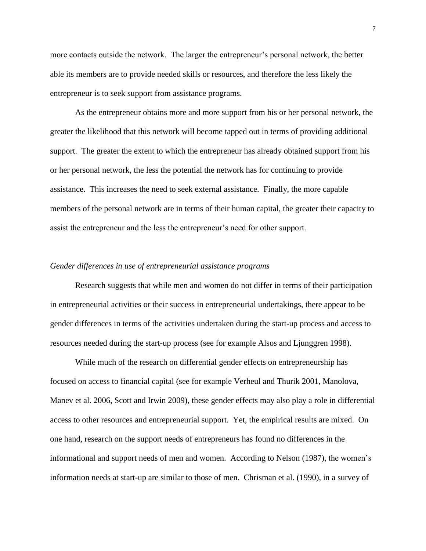more contacts outside the network. The larger the entrepreneur's personal network, the better able its members are to provide needed skills or resources, and therefore the less likely the entrepreneur is to seek support from assistance programs.

As the entrepreneur obtains more and more support from his or her personal network, the greater the likelihood that this network will become tapped out in terms of providing additional support. The greater the extent to which the entrepreneur has already obtained support from his or her personal network, the less the potential the network has for continuing to provide assistance. This increases the need to seek external assistance. Finally, the more capable members of the personal network are in terms of their human capital, the greater their capacity to assist the entrepreneur and the less the entrepreneur's need for other support.

#### *Gender differences in use of entrepreneurial assistance programs*

Research suggests that while men and women do not differ in terms of their participation in entrepreneurial activities or their success in entrepreneurial undertakings, there appear to be gender differences in terms of the activities undertaken during the start-up process and access to resources needed during the start-up process (see for example Alsos and Ljunggren 1998).

While much of the research on differential gender effects on entrepreneurship has focused on access to financial capital (see for example Verheul and Thurik 2001, Manolova, Manev et al. 2006, Scott and Irwin 2009), these gender effects may also play a role in differential access to other resources and entrepreneurial support. Yet, the empirical results are mixed. On one hand, research on the support needs of entrepreneurs has found no differences in the informational and support needs of men and women. According to Nelson (1987), the women's information needs at start-up are similar to those of men. Chrisman et al. (1990), in a survey of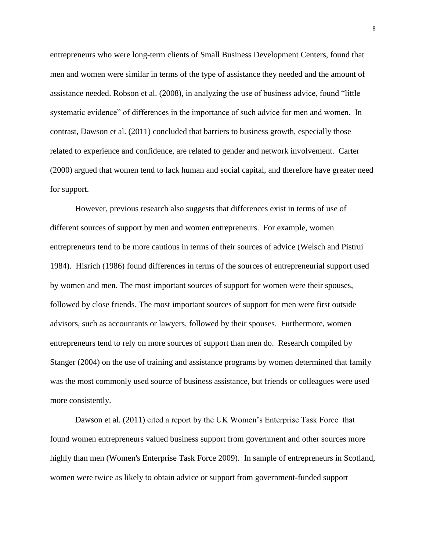entrepreneurs who were long-term clients of Small Business Development Centers, found that men and women were similar in terms of the type of assistance they needed and the amount of assistance needed. Robson et al. (2008), in analyzing the use of business advice, found "little systematic evidence" of differences in the importance of such advice for men and women. In contrast, Dawson et al. (2011) concluded that barriers to business growth, especially those related to experience and confidence, are related to gender and network involvement. Carter (2000) argued that women tend to lack human and social capital, and therefore have greater need for support.

However, previous research also suggests that differences exist in terms of use of different sources of support by men and women entrepreneurs. For example, women entrepreneurs tend to be more cautious in terms of their sources of advice (Welsch and Pistrui 1984). Hisrich (1986) found differences in terms of the sources of entrepreneurial support used by women and men. The most important sources of support for women were their spouses, followed by close friends. The most important sources of support for men were first outside advisors, such as accountants or lawyers, followed by their spouses. Furthermore, women entrepreneurs tend to rely on more sources of support than men do. Research compiled by Stanger (2004) on the use of training and assistance programs by women determined that family was the most commonly used source of business assistance, but friends or colleagues were used more consistently.

Dawson et al. (2011) cited a report by the UK Women's Enterprise Task Force that found women entrepreneurs valued business support from government and other sources more highly than men (Women's Enterprise Task Force 2009). In sample of entrepreneurs in Scotland, women were twice as likely to obtain advice or support from government-funded support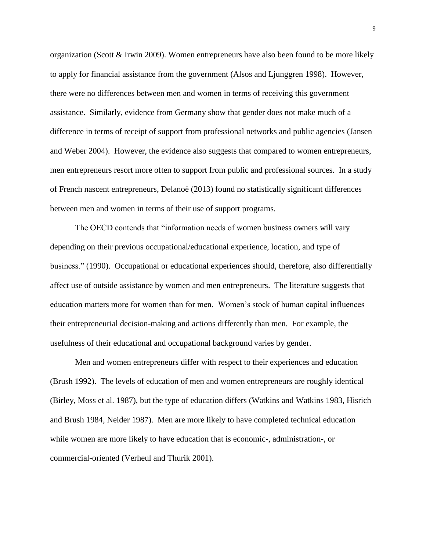organization (Scott & Irwin 2009). Women entrepreneurs have also been found to be more likely to apply for financial assistance from the government (Alsos and Ljunggren 1998). However, there were no differences between men and women in terms of receiving this government assistance. Similarly, evidence from Germany show that gender does not make much of a difference in terms of receipt of support from professional networks and public agencies (Jansen and Weber 2004). However, the evidence also suggests that compared to women entrepreneurs, men entrepreneurs resort more often to support from public and professional sources. In a study of French nascent entrepreneurs, Delanoë (2013) found no statistically significant differences between men and women in terms of their use of support programs.

The OECD contends that "information needs of women business owners will vary depending on their previous occupational/educational experience, location, and type of business." (1990). Occupational or educational experiences should, therefore, also differentially affect use of outside assistance by women and men entrepreneurs. The literature suggests that education matters more for women than for men. Women's stock of human capital influences their entrepreneurial decision-making and actions differently than men. For example, the usefulness of their educational and occupational background varies by gender.

Men and women entrepreneurs differ with respect to their experiences and education (Brush 1992). The levels of education of men and women entrepreneurs are roughly identical (Birley, Moss et al. 1987), but the type of education differs (Watkins and Watkins 1983, Hisrich and Brush 1984, Neider 1987). Men are more likely to have completed technical education while women are more likely to have education that is economic-, administration-, or commercial-oriented (Verheul and Thurik 2001).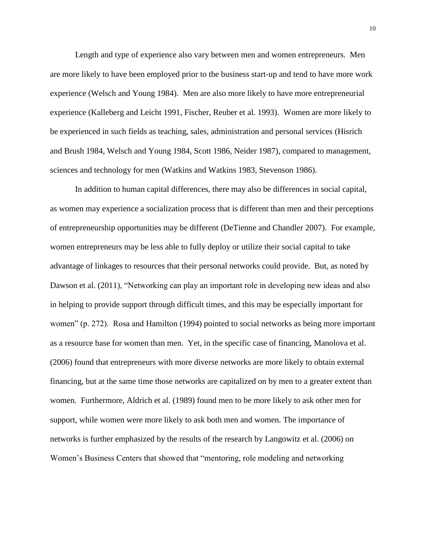Length and type of experience also vary between men and women entrepreneurs. Men are more likely to have been employed prior to the business start-up and tend to have more work experience (Welsch and Young 1984). Men are also more likely to have more entrepreneurial experience (Kalleberg and Leicht 1991, Fischer, Reuber et al. 1993). Women are more likely to be experienced in such fields as teaching, sales, administration and personal services (Hisrich and Brush 1984, Welsch and Young 1984, Scott 1986, Neider 1987), compared to management, sciences and technology for men (Watkins and Watkins 1983, Stevenson 1986).

In addition to human capital differences, there may also be differences in social capital, as women may experience a socialization process that is different than men and their perceptions of entrepreneurship opportunities may be different (DeTienne and Chandler 2007). For example, women entrepreneurs may be less able to fully deploy or utilize their social capital to take advantage of linkages to resources that their personal networks could provide. But, as noted by Dawson et al. (2011), "Networking can play an important role in developing new ideas and also in helping to provide support through difficult times, and this may be especially important for women" (p. 272). Rosa and Hamilton (1994) pointed to social networks as being more important as a resource base for women than men. Yet, in the specific case of financing, Manolova et al. (2006) found that entrepreneurs with more diverse networks are more likely to obtain external financing, but at the same time those networks are capitalized on by men to a greater extent than women. Furthermore, Aldrich et al. (1989) found men to be more likely to ask other men for support, while women were more likely to ask both men and women. The importance of networks is further emphasized by the results of the research by Langowitz et al. (2006) on Women's Business Centers that showed that "mentoring, role modeling and networking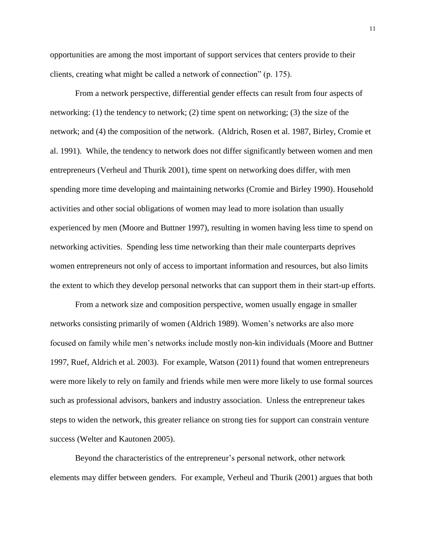opportunities are among the most important of support services that centers provide to their clients, creating what might be called a network of connection" (p. 175).

From a network perspective, differential gender effects can result from four aspects of networking: (1) the tendency to network; (2) time spent on networking; (3) the size of the network; and (4) the composition of the network. (Aldrich, Rosen et al. 1987, Birley, Cromie et al. 1991). While, the tendency to network does not differ significantly between women and men entrepreneurs (Verheul and Thurik 2001), time spent on networking does differ, with men spending more time developing and maintaining networks (Cromie and Birley 1990). Household activities and other social obligations of women may lead to more isolation than usually experienced by men (Moore and Buttner 1997), resulting in women having less time to spend on networking activities. Spending less time networking than their male counterparts deprives women entrepreneurs not only of access to important information and resources, but also limits the extent to which they develop personal networks that can support them in their start-up efforts.

From a network size and composition perspective, women usually engage in smaller networks consisting primarily of women (Aldrich 1989). Women's networks are also more focused on family while men's networks include mostly non-kin individuals (Moore and Buttner 1997, Ruef, Aldrich et al. 2003). For example, Watson (2011) found that women entrepreneurs were more likely to rely on family and friends while men were more likely to use formal sources such as professional advisors, bankers and industry association. Unless the entrepreneur takes steps to widen the network, this greater reliance on strong ties for support can constrain venture success (Welter and Kautonen 2005).

Beyond the characteristics of the entrepreneur's personal network, other network elements may differ between genders. For example, Verheul and Thurik (2001) argues that both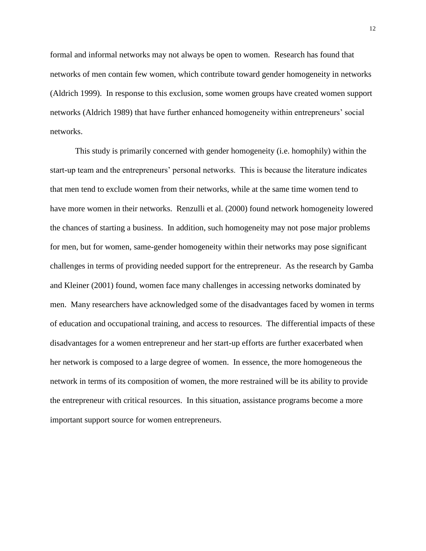formal and informal networks may not always be open to women. Research has found that networks of men contain few women, which contribute toward gender homogeneity in networks (Aldrich 1999). In response to this exclusion, some women groups have created women support networks (Aldrich 1989) that have further enhanced homogeneity within entrepreneurs' social networks.

This study is primarily concerned with gender homogeneity (i.e. homophily) within the start-up team and the entrepreneurs' personal networks. This is because the literature indicates that men tend to exclude women from their networks, while at the same time women tend to have more women in their networks. Renzulli et al. (2000) found network homogeneity lowered the chances of starting a business. In addition, such homogeneity may not pose major problems for men, but for women, same-gender homogeneity within their networks may pose significant challenges in terms of providing needed support for the entrepreneur. As the research by Gamba and Kleiner (2001) found, women face many challenges in accessing networks dominated by men. Many researchers have acknowledged some of the disadvantages faced by women in terms of education and occupational training, and access to resources. The differential impacts of these disadvantages for a women entrepreneur and her start-up efforts are further exacerbated when her network is composed to a large degree of women. In essence, the more homogeneous the network in terms of its composition of women, the more restrained will be its ability to provide the entrepreneur with critical resources. In this situation, assistance programs become a more important support source for women entrepreneurs.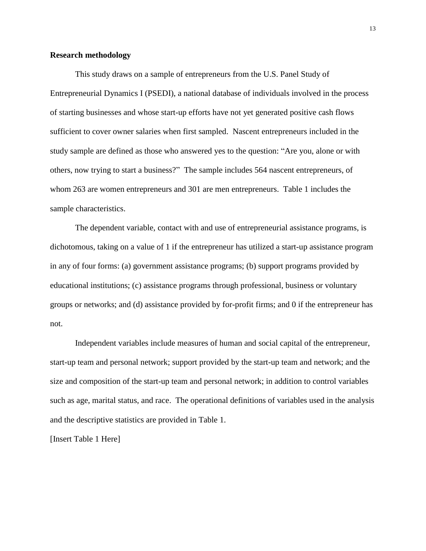#### **Research methodology**

This study draws on a sample of entrepreneurs from the U.S. Panel Study of Entrepreneurial Dynamics I (PSEDI), a national database of individuals involved in the process of starting businesses and whose start-up efforts have not yet generated positive cash flows sufficient to cover owner salaries when first sampled. Nascent entrepreneurs included in the study sample are defined as those who answered yes to the question: "Are you, alone or with others, now trying to start a business?" The sample includes 564 nascent entrepreneurs, of whom 263 are women entrepreneurs and 301 are men entrepreneurs. Table 1 includes the sample characteristics.

The dependent variable, contact with and use of entrepreneurial assistance programs, is dichotomous, taking on a value of 1 if the entrepreneur has utilized a start-up assistance program in any of four forms: (a) government assistance programs; (b) support programs provided by educational institutions; (c) assistance programs through professional, business or voluntary groups or networks; and (d) assistance provided by for-profit firms; and 0 if the entrepreneur has not.

Independent variables include measures of human and social capital of the entrepreneur, start-up team and personal network; support provided by the start-up team and network; and the size and composition of the start-up team and personal network; in addition to control variables such as age, marital status, and race. The operational definitions of variables used in the analysis and the descriptive statistics are provided in Table 1.

[Insert Table 1 Here]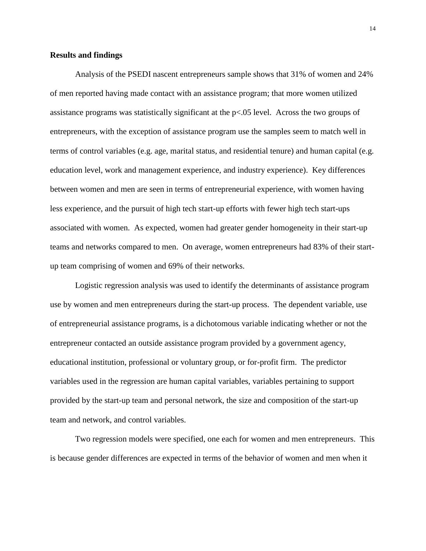#### **Results and findings**

Analysis of the PSEDI nascent entrepreneurs sample shows that 31% of women and 24% of men reported having made contact with an assistance program; that more women utilized assistance programs was statistically significant at the  $p<0.05$  level. Across the two groups of entrepreneurs, with the exception of assistance program use the samples seem to match well in terms of control variables (e.g. age, marital status, and residential tenure) and human capital (e.g. education level, work and management experience, and industry experience). Key differences between women and men are seen in terms of entrepreneurial experience, with women having less experience, and the pursuit of high tech start-up efforts with fewer high tech start-ups associated with women. As expected, women had greater gender homogeneity in their start-up teams and networks compared to men. On average, women entrepreneurs had 83% of their startup team comprising of women and 69% of their networks.

Logistic regression analysis was used to identify the determinants of assistance program use by women and men entrepreneurs during the start-up process. The dependent variable, use of entrepreneurial assistance programs, is a dichotomous variable indicating whether or not the entrepreneur contacted an outside assistance program provided by a government agency, educational institution, professional or voluntary group, or for-profit firm. The predictor variables used in the regression are human capital variables, variables pertaining to support provided by the start-up team and personal network, the size and composition of the start-up team and network, and control variables.

Two regression models were specified, one each for women and men entrepreneurs. This is because gender differences are expected in terms of the behavior of women and men when it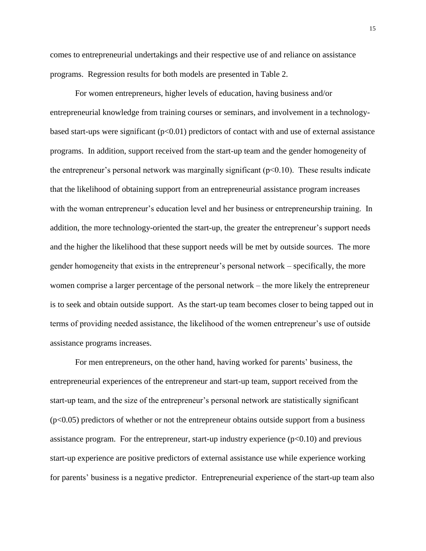comes to entrepreneurial undertakings and their respective use of and reliance on assistance programs. Regression results for both models are presented in Table 2.

For women entrepreneurs, higher levels of education, having business and/or entrepreneurial knowledge from training courses or seminars, and involvement in a technologybased start-ups were significant  $(p<0.01)$  predictors of contact with and use of external assistance programs. In addition, support received from the start-up team and the gender homogeneity of the entrepreneur's personal network was marginally significant  $(p<0.10)$ . These results indicate that the likelihood of obtaining support from an entrepreneurial assistance program increases with the woman entrepreneur's education level and her business or entrepreneurship training. In addition, the more technology-oriented the start-up, the greater the entrepreneur's support needs and the higher the likelihood that these support needs will be met by outside sources. The more gender homogeneity that exists in the entrepreneur's personal network – specifically, the more women comprise a larger percentage of the personal network – the more likely the entrepreneur is to seek and obtain outside support. As the start-up team becomes closer to being tapped out in terms of providing needed assistance, the likelihood of the women entrepreneur's use of outside assistance programs increases.

For men entrepreneurs, on the other hand, having worked for parents' business, the entrepreneurial experiences of the entrepreneur and start-up team, support received from the start-up team, and the size of the entrepreneur's personal network are statistically significant  $(p<0.05)$  predictors of whether or not the entrepreneur obtains outside support from a business assistance program. For the entrepreneur, start-up industry experience  $(p<0.10)$  and previous start-up experience are positive predictors of external assistance use while experience working for parents' business is a negative predictor. Entrepreneurial experience of the start-up team also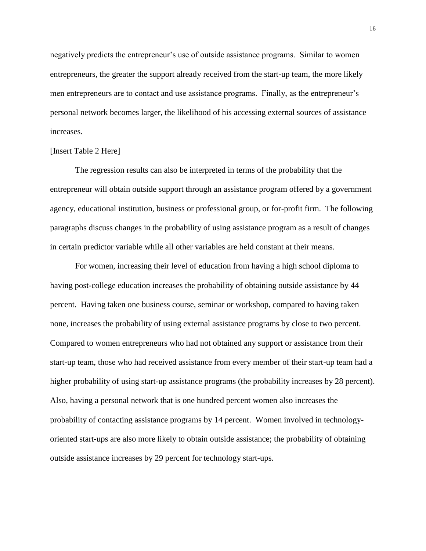negatively predicts the entrepreneur's use of outside assistance programs. Similar to women entrepreneurs, the greater the support already received from the start-up team, the more likely men entrepreneurs are to contact and use assistance programs. Finally, as the entrepreneur's personal network becomes larger, the likelihood of his accessing external sources of assistance increases.

#### [Insert Table 2 Here]

The regression results can also be interpreted in terms of the probability that the entrepreneur will obtain outside support through an assistance program offered by a government agency, educational institution, business or professional group, or for-profit firm. The following paragraphs discuss changes in the probability of using assistance program as a result of changes in certain predictor variable while all other variables are held constant at their means.

For women, increasing their level of education from having a high school diploma to having post-college education increases the probability of obtaining outside assistance by 44 percent. Having taken one business course, seminar or workshop, compared to having taken none, increases the probability of using external assistance programs by close to two percent. Compared to women entrepreneurs who had not obtained any support or assistance from their start-up team, those who had received assistance from every member of their start-up team had a higher probability of using start-up assistance programs (the probability increases by 28 percent). Also, having a personal network that is one hundred percent women also increases the probability of contacting assistance programs by 14 percent. Women involved in technologyoriented start-ups are also more likely to obtain outside assistance; the probability of obtaining outside assistance increases by 29 percent for technology start-ups.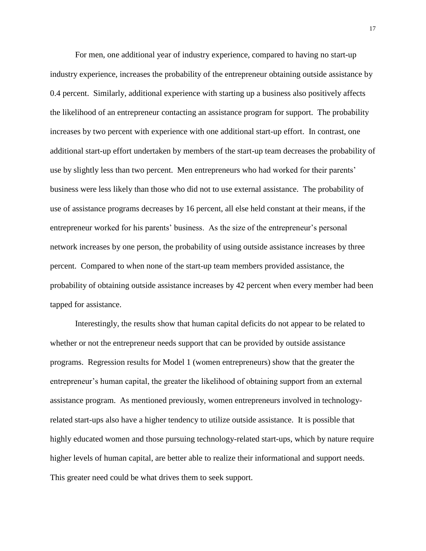For men, one additional year of industry experience, compared to having no start-up industry experience, increases the probability of the entrepreneur obtaining outside assistance by 0.4 percent. Similarly, additional experience with starting up a business also positively affects the likelihood of an entrepreneur contacting an assistance program for support. The probability increases by two percent with experience with one additional start-up effort. In contrast, one additional start-up effort undertaken by members of the start-up team decreases the probability of use by slightly less than two percent. Men entrepreneurs who had worked for their parents' business were less likely than those who did not to use external assistance. The probability of use of assistance programs decreases by 16 percent, all else held constant at their means, if the entrepreneur worked for his parents' business. As the size of the entrepreneur's personal network increases by one person, the probability of using outside assistance increases by three percent. Compared to when none of the start-up team members provided assistance, the probability of obtaining outside assistance increases by 42 percent when every member had been tapped for assistance.

Interestingly, the results show that human capital deficits do not appear to be related to whether or not the entrepreneur needs support that can be provided by outside assistance programs. Regression results for Model 1 (women entrepreneurs) show that the greater the entrepreneur's human capital, the greater the likelihood of obtaining support from an external assistance program. As mentioned previously, women entrepreneurs involved in technologyrelated start-ups also have a higher tendency to utilize outside assistance. It is possible that highly educated women and those pursuing technology-related start-ups, which by nature require higher levels of human capital, are better able to realize their informational and support needs. This greater need could be what drives them to seek support.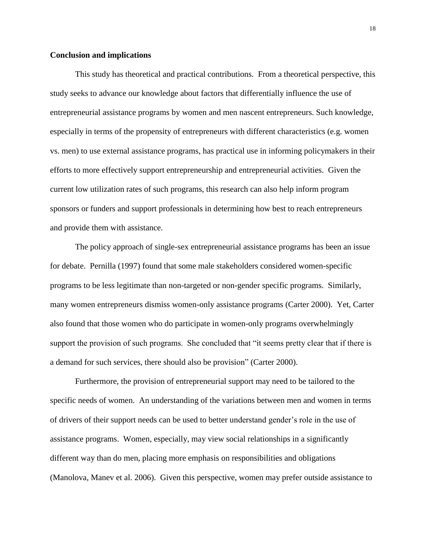#### **Conclusion and implications**

This study has theoretical and practical contributions. From a theoretical perspective, this study seeks to advance our knowledge about factors that differentially influence the use of entrepreneurial assistance programs by women and men nascent entrepreneurs. Such knowledge, especially in terms of the propensity of entrepreneurs with different characteristics (e.g. women vs. men) to use external assistance programs, has practical use in informing policymakers in their efforts to more effectively support entrepreneurship and entrepreneurial activities. Given the current low utilization rates of such programs, this research can also help inform program sponsors or funders and support professionals in determining how best to reach entrepreneurs and provide them with assistance.

The policy approach of single-sex entrepreneurial assistance programs has been an issue for debate. Pernilla (1997) found that some male stakeholders considered women-specific programs to be less legitimate than non-targeted or non-gender specific programs. Similarly, many women entrepreneurs dismiss women-only assistance programs (Carter 2000). Yet, Carter also found that those women who do participate in women-only programs overwhelmingly support the provision of such programs. She concluded that "it seems pretty clear that if there is a demand for such services, there should also be provision" (Carter 2000).

Furthermore, the provision of entrepreneurial support may need to be tailored to the specific needs of women. An understanding of the variations between men and women in terms of drivers of their support needs can be used to better understand gender's role in the use of assistance programs. Women, especially, may view social relationships in a significantly different way than do men, placing more emphasis on responsibilities and obligations (Manolova, Manev et al. 2006). Given this perspective, women may prefer outside assistance to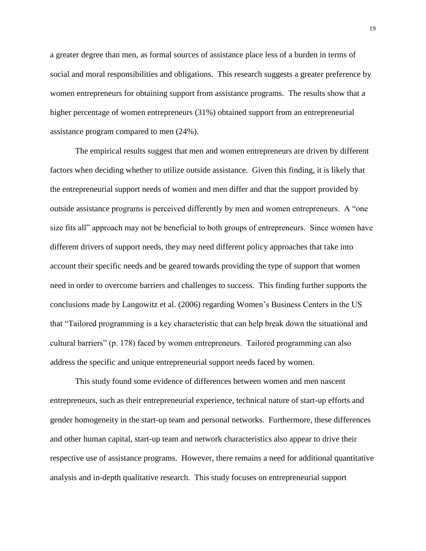a greater degree than men, as formal sources of assistance place less of a burden in terms of social and moral responsibilities and obligations. This research suggests a greater preference by women entrepreneurs for obtaining support from assistance programs. The results show that a higher percentage of women entrepreneurs (31%) obtained support from an entrepreneurial assistance program compared to men (24%).

The empirical results suggest that men and women entrepreneurs are driven by different factors when deciding whether to utilize outside assistance. Given this finding, it is likely that the entrepreneurial support needs of women and men differ and that the support provided by outside assistance programs is perceived differently by men and women entrepreneurs. A "one size fits all" approach may not be beneficial to both groups of entrepreneurs. Since women have different drivers of support needs, they may need different policy approaches that take into account their specific needs and be geared towards providing the type of support that women need in order to overcome barriers and challenges to success. This finding further supports the conclusions made by Langowitz et al. (2006) regarding Women's Business Centers in the US that "Tailored programming is a key characteristic that can help break down the situational and cultural barriers" (p. 178) faced by women entrepreneurs. Tailored programming can also address the specific and unique entrepreneurial support needs faced by women.

This study found some evidence of differences between women and men nascent entrepreneurs, such as their entrepreneurial experience, technical nature of start-up efforts and gender homogeneity in the start-up team and personal networks. Furthermore, these differences and other human capital, start-up team and network characteristics also appear to drive their respective use of assistance programs. However, there remains a need for additional quantitative analysis and in-depth qualitative research. This study focuses on entrepreneurial support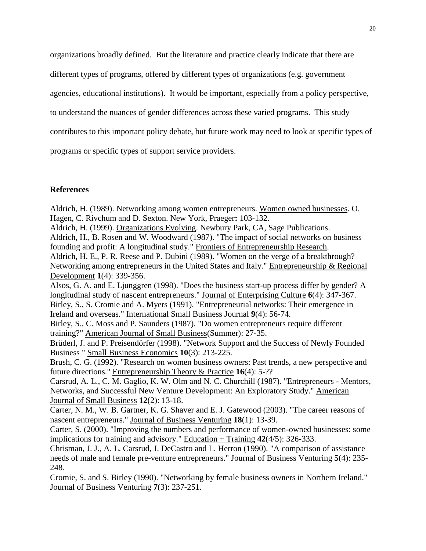organizations broadly defined. But the literature and practice clearly indicate that there are

different types of programs, offered by different types of organizations (e.g. government

agencies, educational institutions). It would be important, especially from a policy perspective,

to understand the nuances of gender differences across these varied programs. This study

contributes to this important policy debate, but future work may need to look at specific types of

programs or specific types of support service providers.

### **References**

Aldrich, H. (1989). Networking among women entrepreneurs. Women owned businesses. O. Hagen, C. Rivchum and D. Sexton. New York, Praeger**:** 103-132.

Aldrich, H. (1999). Organizations Evolving. Newbury Park, CA, Sage Publications. Aldrich, H., B. Rosen and W. Woodward (1987). "The impact of social networks on business founding and profit: A longitudinal study." Frontiers of Entrepreneurship Research.

Aldrich, H. E., P. R. Reese and P. Dubini (1989). "Women on the verge of a breakthrough? Networking among entrepreneurs in the United States and Italy." Entrepreneurship & Regional Development **1**(4): 339-356.

Alsos, G. A. and E. Ljunggren (1998). "Does the business start-up process differ by gender? A longitudinal study of nascent entrepreneurs." Journal of Enterprising Culture **6**(4): 347-367. Birley, S., S. Cromie and A. Myers (1991). "Entrepreneurial networks: Their emergence in

Ireland and overseas." International Small Business Journal **9**(4): 56-74.

Birley, S., C. Moss and P. Saunders (1987). "Do women entrepreneurs require different training?" American Journal of Small Business(Summer): 27-35.

Brüderl, J. and P. Preisendörfer (1998). "Network Support and the Success of Newly Founded Business " Small Business Economics **10**(3): 213-225.

Brush, C. G. (1992). "Research on women business owners: Past trends, a new perspective and future directions." Entrepreneurship Theory & Practice **16**(4): 5-??

Carsrud, A. L., C. M. Gaglio, K. W. Olm and N. C. Churchill (1987). "Entrepreneurs - Mentors, Networks, and Successful New Venture Development: An Exploratory Study." American Journal of Small Business **12**(2): 13-18.

Carter, N. M., W. B. Gartner, K. G. Shaver and E. J. Gatewood (2003). "The career reasons of nascent entrepreneurs." Journal of Business Venturing **18**(1): 13-39.

Carter, S. (2000). "Improving the numbers and performance of women-owned businesses: some implications for training and advisory." Education + Training **42**(4/5): 326-333.

Chrisman, J. J., A. L. Carsrud, J. DeCastro and L. Herron (1990). "A comparison of assistance needs of male and female pre-venture entrepreneurs." Journal of Business Venturing **5**(4): 235- 248.

Cromie, S. and S. Birley (1990). "Networking by female business owners in Northern Ireland." Journal of Business Venturing **7**(3): 237-251.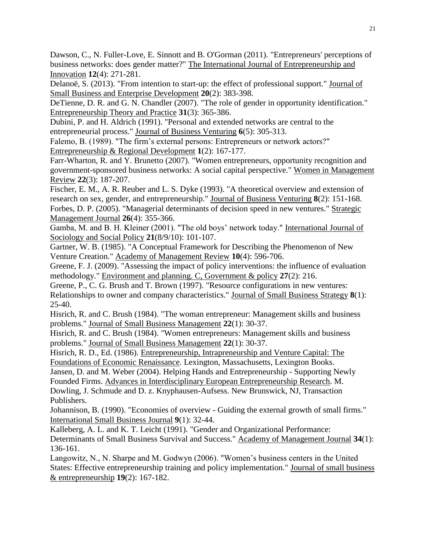Dawson, C., N. Fuller-Love, E. Sinnott and B. O'Gorman (2011). "Entrepreneurs' perceptions of business networks: does gender matter?" The International Journal of Entrepreneurship and Innovation **12**(4): 271-281.

Delanoë, S. (2013). "From intention to start-up: the effect of professional support." Journal of Small Business and Enterprise Development **20**(2): 383-398.

DeTienne, D. R. and G. N. Chandler (2007). "The role of gender in opportunity identification." Entrepreneurship Theory and Practice **31**(3): 365-386.

Dubini, P. and H. Aldrich (1991). "Personal and extended networks are central to the entrepreneurial process." Journal of Business Venturing **6**(5): 305-313.

Falemo, B. (1989). "The firm's external persons: Entrepreneurs or network actors?" Entrepreneurship & Regional Development **1**(2): 167-177.

Farr-Wharton, R. and Y. Brunetto (2007). "Women entrepreneurs, opportunity recognition and government-sponsored business networks: A social capital perspective." Women in Management Review **22**(3): 187-207.

Fischer, E. M., A. R. Reuber and L. S. Dyke (1993). "A theoretical overview and extension of research on sex, gender, and entrepreneurship." Journal of Business Venturing **8**(2): 151-168. Forbes, D. P. (2005). "Managerial determinants of decision speed in new ventures." Strategic Management Journal **26**(4): 355-366.

Gamba, M. and B. H. Kleiner (2001). "The old boys' network today." International Journal of Sociology and Social Policy **21**(8/9/10): 101-107.

Gartner, W. B. (1985). "A Conceptual Framework for Describing the Phenomenon of New Venture Creation." Academy of Management Review **10**(4): 596-706.

Greene, F. J. (2009). "Assessing the impact of policy interventions: the influence of evaluation methodology." Environment and planning. C, Government & policy **27**(2): 216.

Greene, P., C. G. Brush and T. Brown (1997). "Resource configurations in new ventures: Relationships to owner and company characteristics." Journal of Small Business Strategy **8**(1): 25-40.

Hisrich, R. and C. Brush (1984). "The woman entrepreneur: Management skills and business problems." Journal of Small Business Management **22**(1): 30-37.

Hisrich, R. and C. Brush (1984). "Women entrepreneurs: Management skills and business problems." Journal of Small Business Management **22**(1): 30-37.

Hisrich, R. D., Ed. (1986). Entrepreneurship, Intrapreneurship and Venture Capital: The Foundations of Economic Renaissance. Lexington, Massachusetts, Lexington Books.

Jansen, D. and M. Weber (2004). Helping Hands and Entrepreneurship - Supporting Newly Founded Firms. Advances in Interdisciplinary European Entrepreneurship Research. M. Dowling, J. Schmude and D. z. Knyphausen-Aufsess. New Brunswick, NJ, Transaction Publishers.

Johannison, B. (1990). "Economies of overview - Guiding the external growth of small firms." International Small Business Journal **9**(1): 32-44.

Kalleberg, A. L. and K. T. Leicht (1991). "Gender and Organizational Performance: Determinants of Small Business Survival and Success." Academy of Management Journal **34**(1): 136-161.

Langowitz, N., N. Sharpe and M. Godwyn (2006). "Women's business centers in the United States: Effective entrepreneurship training and policy implementation." Journal of small business & entrepreneurship **19**(2): 167-182.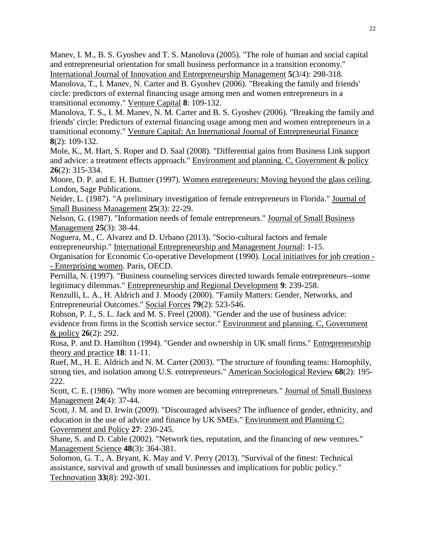Manev, I. M., B. S. Gyoshev and T. S. Manolova (2005). "The role of human and social capital and entrepreneurial orientation for small business performance in a transition economy." International Journal of Innovation and Entrepreneurship Management **5**(3/4): 298-318.

Manolova, T., I. Manev, N. Carter and B. Gyoshev (2006). "Breaking the family and friends' circle: predictors of external financing usage among men and women entrepreneurs in a transitional economy." Venture Capital **8**: 109-132.

Manolova, T. S., I. M. Manev, N. M. Carter and B. S. Gyoshev (2006). "Breaking the family and friends' circle: Predictors of external financing usage among men and women entrepreneurs in a transitional economy." Venture Capital: An International Journal of Entrepreneurial Finance **8**(2): 109-132.

Mole, K., M. Hart, S. Roper and D. Saal (2008). "Differential gains from Business Link support and advice: a treatment effects approach." Environment and planning. C, Government & policy **26**(2): 315-334.

Moore, D. P. and E. H. Buttner (1997). Women entrepreneurs: Moving beyond the glass ceiling. London, Sage Publications.

Neider, L. (1987). "A preliminary investigation of female entrepreneurs in Florida." Journal of Small Business Management **25**(3): 22-29.

Nelson, G. (1987). "Information needs of female entrepreneurs." Journal of Small Business Management **25**(3): 38-44.

Noguera, M., C. Alvarez and D. Urbano (2013). "Socio-cultural factors and female entrepreneurship." International Entrepreneurship and Management Journal: 1-15.

Organisation for Economic Co-operative Development (1990). Local initiatives for job creation - - Enterprising women. Paris, OECD.

Pernilla, N. (1997). "Business counseling services directed towards female entrepreneurs--some legitimacy dilemmas." Entrepreneurship and Regional Development **9**: 239-258.

Renzulli, L. A., H. Aldrich and J. Moody (2000). "Family Matters: Gender, Networks, and Entrepreneurial Outcomes." Social Forces **79**(2): 523-546.

Robson, P. J., S. L. Jack and M. S. Freel (2008). "Gender and the use of business advice: evidence from firms in the Scottish service sector." Environment and planning. C, Government & policy **26**(2): 292.

Rosa, P. and D. Hamilton (1994). "Gender and ownership in UK small firms." Entrepreneurship theory and practice **18**: 11-11.

Ruef, M., H. E. Aldrich and N. M. Carter (2003). "The structure of founding teams: Homophily, strong ties, and isolation among U.S. entrepreneurs." American Sociological Review **68**(2): 195- 222.

Scott, C. E. (1986). "Why more women are becoming entrepreneurs." Journal of Small Business Management **24**(4): 37-44.

Scott, J. M. and D. Irwin (2009). "Discouraged advisees? The influence of gender, ethnicity, and education in the use of advice and finance by UK SMEs." Environment and Planning C: Government and Policy **27**: 230-245.

Shane, S. and D. Cable (2002). "Network ties, reputation, and the financing of new ventures." Management Science **48**(3): 364-381.

Solomon, G. T., A. Bryant, K. May and V. Perry (2013). "Survival of the fittest: Technical assistance, survival and growth of small businesses and implications for public policy." Technovation **33**(8): 292-301.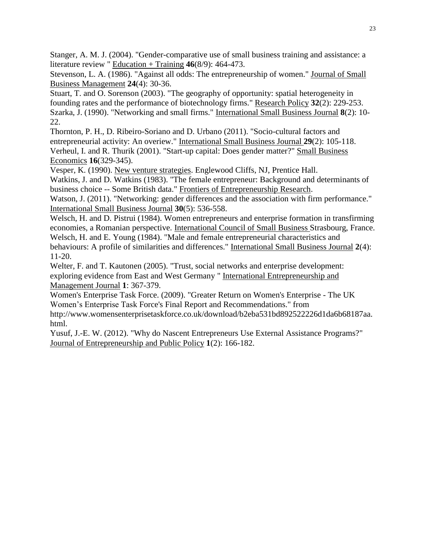Stanger, A. M. J. (2004). "Gender-comparative use of small business training and assistance: a literature review " Education + Training **46**(8/9): 464-473.

Stevenson, L. A. (1986). "Against all odds: The entrepreneurship of women." Journal of Small Business Management **24**(4): 30-36.

Stuart, T. and O. Sorenson (2003). "The geography of opportunity: spatial heterogeneity in founding rates and the performance of biotechnology firms." Research Policy **32**(2): 229-253. Szarka, J. (1990). "Networking and small firms." International Small Business Journal **8**(2): 10- 22.

Thornton, P. H., D. Ribeiro-Soriano and D. Urbano (2011). "Socio-cultural factors and entrepreneurial activity: An overiew." International Small Business Journal **29**(2): 105-118. Verheul, I. and R. Thurik (2001). "Start-up capital: Does gender matter?" Small Business Economics **16**(329-345).

Vesper, K. (1990). New venture strategies. Englewood Cliffs, NJ, Prentice Hall.

Watkins, J. and D. Watkins (1983). "The female entrepreneur: Background and determinants of business choice -- Some British data." Frontiers of Entrepreneurship Research.

Watson, J. (2011). "Networking: gender differences and the association with firm performance." International Small Business Journal **30**(5): 536-558.

Welsch, H. and D. Pistrui (1984). Women entrepreneurs and enterprise formation in transfirming economies, a Romanian perspective. International Council of Small Business Strasbourg, France. Welsch, H. and E. Young (1984). "Male and female entrepreneurial characteristics and behaviours: A profile of similarities and differences." International Small Business Journal **2**(4): 11-20.

Welter, F. and T. Kautonen (2005). "Trust, social networks and enterprise development: exploring evidence from East and West Germany " International Entrepreneurship and Management Journal **1**: 367-379.

Women's Enterprise Task Force. (2009). "Greater Return on Women's Enterprise - The UK Women's Enterprise Task Force's Final Report and Recommendations." from

http://www.womensenterprisetaskforce.co.uk/download/b2eba531bd892522226d1da6b68187aa. html.

Yusuf, J.-E. W. (2012). "Why do Nascent Entrepreneurs Use External Assistance Programs?" Journal of Entrepreneurship and Public Policy **1**(2): 166-182.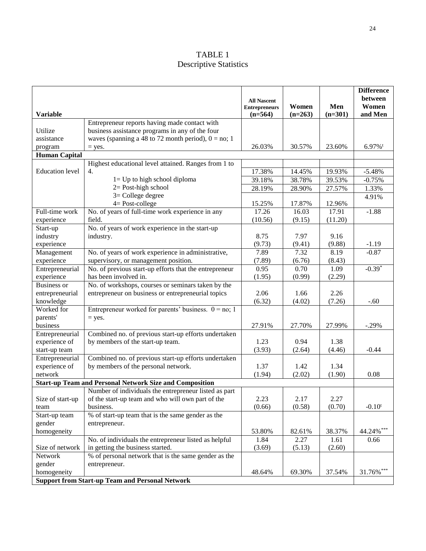## TABLE 1 Descriptive Statistics

| <b>Variable</b>                                        |                                                                | <b>All Nascent</b><br><b>Entrepreneurs</b><br>$(n=564)$ | Women<br>$(n=263)$ | Men<br>$(n=301)$ | <b>Difference</b><br>between<br>Women<br>and Men |  |  |
|--------------------------------------------------------|----------------------------------------------------------------|---------------------------------------------------------|--------------------|------------------|--------------------------------------------------|--|--|
|                                                        | Entrepreneur reports having made contact with                  |                                                         |                    |                  |                                                  |  |  |
| Utilize                                                | business assistance programs in any of the four                |                                                         |                    |                  |                                                  |  |  |
| assistance                                             | waves (spanning a 48 to 72 month period), $0 = no$ ; 1         |                                                         |                    |                  |                                                  |  |  |
| program                                                | $=$ yes.                                                       | 26.03%                                                  | 30.57%             | 23.60%           | $6.97\%$ <sup>t</sup>                            |  |  |
| <b>Human Capital</b>                                   |                                                                |                                                         |                    |                  |                                                  |  |  |
|                                                        | Highest educational level attained. Ranges from 1 to           |                                                         |                    |                  |                                                  |  |  |
| <b>Education</b> level                                 | 4.                                                             | 17.38%                                                  | 14.45%             | 19.93%           | $-5.48%$                                         |  |  |
|                                                        | $l = Up$ to high school diploma                                | 39.18%                                                  | 38.78%             | 39.53%           | $-0.75%$                                         |  |  |
|                                                        | $2 = Post$ -high school                                        | 28.19%                                                  | 28.90%             | 27.57%           | 1.33%                                            |  |  |
|                                                        | $3 =$ College degree                                           |                                                         |                    |                  | 4.91%                                            |  |  |
|                                                        | $4 = Post-college$                                             | 15.25%                                                  | 17.87%             | 12.96%           |                                                  |  |  |
| Full-time work                                         | No. of years of full-time work experience in any               | 17.26                                                   | 16.03              | 17.91            | $-1.88$                                          |  |  |
| experience                                             | field.                                                         | (10.56)                                                 | (9.15)             | (11.20)          |                                                  |  |  |
| Start-up                                               | No. of years of work experience in the start-up                |                                                         |                    |                  |                                                  |  |  |
| industry                                               | industry.                                                      | 8.75                                                    | 7.97               | 9.16             |                                                  |  |  |
| experience                                             |                                                                | (9.73)                                                  | (9.41)             | (9.88)           | $-1.19$                                          |  |  |
| Management                                             | No. of years of work experience in administrative,             | 7.89                                                    | 7.32               | 8.19             | $-0.87$                                          |  |  |
| experience                                             | supervisory, or management position.                           | (7.89)                                                  | (6.76)             | (8.43)           |                                                  |  |  |
| Entrepreneurial                                        | No. of previous start-up efforts that the entrepreneur         | 0.95                                                    | 0.70               | 1.09             | $-0.39*$                                         |  |  |
| experience                                             | has been involved in.                                          | (1.95)                                                  | (0.99)             | (2.29)           |                                                  |  |  |
| <b>Business or</b>                                     | No. of workshops, courses or seminars taken by the             |                                                         |                    |                  |                                                  |  |  |
| entrepreneurial                                        | entrepreneur on business or entrepreneurial topics             | 2.06                                                    | 1.66               | 2.26             |                                                  |  |  |
| knowledge                                              |                                                                | (6.32)                                                  | (4.02)             | (7.26)           | $-.60$                                           |  |  |
| Worked for                                             | Entrepreneur worked for parents' business. $0 = no$ ; 1        |                                                         |                    |                  |                                                  |  |  |
| parents'                                               | $=$ yes.                                                       |                                                         |                    |                  |                                                  |  |  |
| business                                               |                                                                | 27.91%                                                  | 27.70%             | 27.99%           | $-.29%$                                          |  |  |
| Entrepreneurial                                        | Combined no. of previous start-up efforts undertaken           |                                                         |                    |                  |                                                  |  |  |
| experience of                                          | by members of the start-up team.                               | 1.23                                                    | 0.94               | 1.38             |                                                  |  |  |
| start-up team                                          |                                                                | (3.93)                                                  | (2.64)             | (4.46)           | $-0.44$                                          |  |  |
| Entrepreneurial                                        | Combined no. of previous start-up efforts undertaken           |                                                         |                    |                  |                                                  |  |  |
| experience of                                          | by members of the personal network.                            | 1.37                                                    | 1.42               | 1.34             |                                                  |  |  |
| network                                                |                                                                | (1.94)                                                  | (2.02)             | (1.90)           | 0.08                                             |  |  |
|                                                        | <b>Start-up Team and Personal Network Size and Composition</b> |                                                         |                    |                  |                                                  |  |  |
|                                                        | Number of individuals the entrepreneur listed as part          |                                                         |                    |                  |                                                  |  |  |
| Size of start-up                                       | of the start-up team and who will own part of the              | 2.23                                                    | 2.17               | 2.27             |                                                  |  |  |
| team                                                   | business.                                                      | (0.66)                                                  | (0.58)             | (0.70)           | $-0.10^{t}$                                      |  |  |
| Start-up team                                          | % of start-up team that is the same gender as the              |                                                         |                    |                  |                                                  |  |  |
| gender                                                 | entrepreneur.                                                  |                                                         |                    |                  |                                                  |  |  |
| homogeneity                                            |                                                                | 53.80%                                                  | 82.61%             | 38.37%           | 44.24%***                                        |  |  |
|                                                        | No. of individuals the entrepreneur listed as helpful          | 1.84                                                    | 2.27               | 1.61             | 0.66                                             |  |  |
| Size of network                                        | in getting the business started.                               | (3.69)                                                  | (5.13)             | (2.60)           |                                                  |  |  |
| Network                                                | % of personal network that is the same gender as the           |                                                         |                    |                  |                                                  |  |  |
| gender                                                 | entrepreneur.                                                  |                                                         |                    |                  |                                                  |  |  |
| homogeneity                                            |                                                                | 48.64%                                                  | 69.30%             | 37.54%           | 31.76%***                                        |  |  |
| <b>Support from Start-up Team and Personal Network</b> |                                                                |                                                         |                    |                  |                                                  |  |  |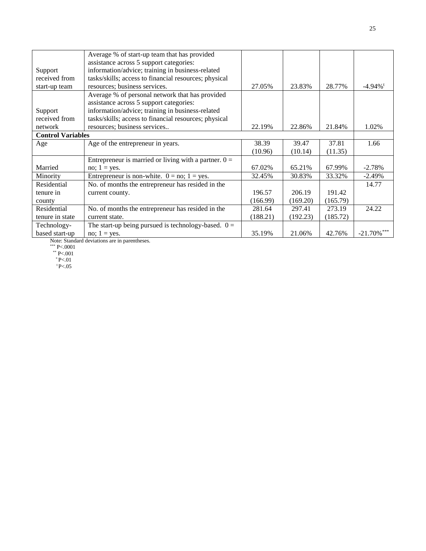|                          | Average % of start-up team that has provided            |          |          |          |                        |
|--------------------------|---------------------------------------------------------|----------|----------|----------|------------------------|
|                          | assistance across 5 support categories:                 |          |          |          |                        |
| Support                  | information/advice; training in business-related        |          |          |          |                        |
| received from            | tasks/skills; access to financial resources; physical   |          |          |          |                        |
| start-up team            | resources; business services.                           | 27.05%   | 23.83%   | 28.77%   | $-4.94\%$ <sup>t</sup> |
|                          | Average % of personal network that has provided         |          |          |          |                        |
|                          | assistance across 5 support categories:                 |          |          |          |                        |
| Support                  | information/advice; training in business-related        |          |          |          |                        |
| received from            | tasks/skills; access to financial resources; physical   |          |          |          |                        |
| network                  | resources; business services                            | 22.19%   | 22.86%   | 21.84%   | 1.02%                  |
| <b>Control Variables</b> |                                                         |          |          |          |                        |
| Age                      | Age of the entrepreneur in years.                       | 38.39    | 39.47    | 37.81    | 1.66                   |
|                          |                                                         | (10.96)  | (10.14)  | (11.35)  |                        |
|                          | Entrepreneur is married or living with a partner. $0 =$ |          |          |          |                        |
| Married                  | no; $1 = yes$ .                                         | 67.02%   | 65.21%   | 67.99%   | $-2.78%$               |
| Minority                 | Entrepreneur is non-white. $0 = no$ ; $1 = yes$ .       | 32.45%   | 30.83%   | 33.32%   | $-2.49%$               |
| Residential              | No. of months the entrepreneur has resided in the       |          |          |          | 14.77                  |
| tenure in                | current county.                                         | 196.57   | 206.19   | 191.42   |                        |
| county                   |                                                         | (166.99) | (169.20) | (165.79) |                        |
| Residential              | No. of months the entrepreneur has resided in the       | 281.64   | 297.41   | 273.19   | 24.22                  |
| tenure in state          | current state.                                          | (188.21) | (192.23) | (185.72) |                        |
| Technology-              | The start-up being pursued is technology-based. $0 =$   |          |          |          |                        |
| based start-up           | no; $1 = yes$ .                                         | 35.19%   | 21.06%   | 42.76%   | $-21.70\%$ ***         |

Note: Standard deviations are in parentheses.

\*\*\* P<.0001

 $*$ \* P<.001

 $*$  P<.01  $t_{P<.05}$